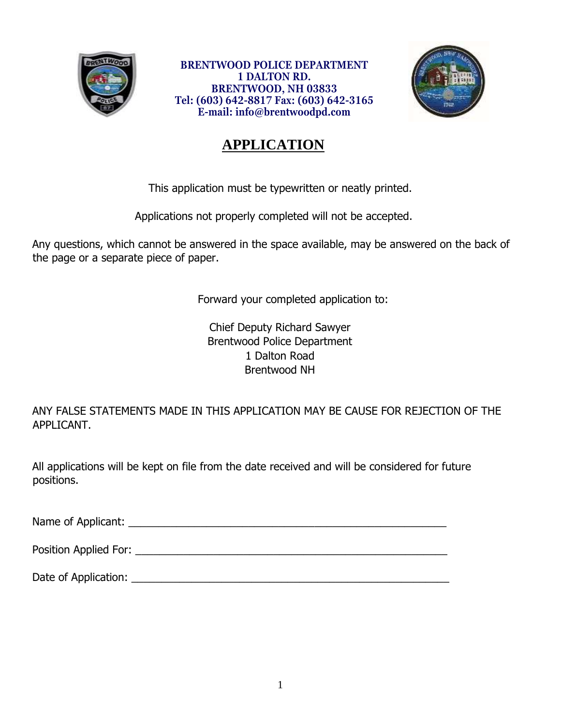

**BRENTWOOD POLICE DEPARTMENT 1 DALTON RD. BRENTWOOD, NH 03833 Tel: (603) 642-8817 Fax: (603) 642-3165 E-mail: info@brentwoodpd.com**



# **APPLICATION**

This application must be typewritten or neatly printed.

Applications not properly completed will not be accepted.

Any questions, which cannot be answered in the space available, may be answered on the back of the page or a separate piece of paper.

Forward your completed application to:

Chief Deputy Richard Sawyer Brentwood Police Department 1 Dalton Road Brentwood NH

ANY FALSE STATEMENTS MADE IN THIS APPLICATION MAY BE CAUSE FOR REJECTION OF THE APPLICANT.

All applications will be kept on file from the date received and will be considered for future positions.

Name of Applicant: \_\_\_\_\_\_\_\_\_\_\_\_\_\_\_\_\_\_\_\_\_\_\_\_\_\_\_\_\_\_\_\_\_\_\_\_\_\_\_\_\_\_\_\_\_\_\_\_\_\_\_\_\_

Position Applied For: **with a set of the set of the set of the set of the set of the set of the set of the set of the set of the set of the set of the set of the set of the set of the set of the set of the set of the set o** 

Date of Application: \_\_\_\_\_\_\_\_\_\_\_\_\_\_\_\_\_\_\_\_\_\_\_\_\_\_\_\_\_\_\_\_\_\_\_\_\_\_\_\_\_\_\_\_\_\_\_\_\_\_\_\_\_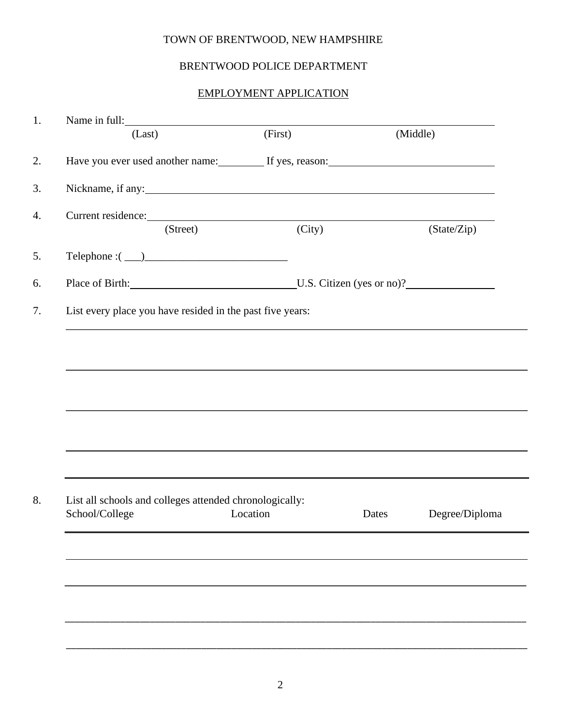#### TOWN OF BRENTWOOD, NEW HAMPSHIRE

#### BRENTWOOD POLICE DEPARTMENT

#### EMPLOYMENT APPLICATION

| Name in full:                                                                                                                                                                    |          |        |          |                |
|----------------------------------------------------------------------------------------------------------------------------------------------------------------------------------|----------|--------|----------|----------------|
| (Last)                                                                                                                                                                           | (First)  |        | (Middle) |                |
| Have you ever used another name: If yes, reason: If yes  If yes  If yes  If yes  All yes  If yes  If yes  If yes  If yes  If yes  If yes  If yes  If yes  If yes  If yes  If yes |          |        |          |                |
|                                                                                                                                                                                  |          |        |          |                |
| Current residence:                                                                                                                                                               |          |        |          |                |
| (Street)                                                                                                                                                                         |          | (City) |          | (State/Zip)    |
| $\begin{tabular}{c} \bf Telephone: ( \hspace{1cm} \textcolor{red}{\textbf{2.6}} \end{tabular}$                                                                                   |          |        |          |                |
| Place of Birth: U.S. Citizen (yes or no)?                                                                                                                                        |          |        |          |                |
| List every place you have resided in the past five years:                                                                                                                        |          |        |          |                |
|                                                                                                                                                                                  |          |        |          |                |
|                                                                                                                                                                                  |          |        |          |                |
|                                                                                                                                                                                  |          |        |          |                |
|                                                                                                                                                                                  |          |        |          |                |
|                                                                                                                                                                                  |          |        |          |                |
|                                                                                                                                                                                  |          |        |          |                |
|                                                                                                                                                                                  |          |        |          |                |
|                                                                                                                                                                                  |          |        |          |                |
|                                                                                                                                                                                  |          |        |          |                |
|                                                                                                                                                                                  |          |        |          |                |
| List all schools and colleges attended chronologically:                                                                                                                          |          |        |          |                |
| School/College                                                                                                                                                                   | Location | Dates  |          | Degree/Diploma |
|                                                                                                                                                                                  |          |        |          |                |
|                                                                                                                                                                                  |          |        |          |                |
|                                                                                                                                                                                  |          |        |          |                |
|                                                                                                                                                                                  |          |        |          |                |
|                                                                                                                                                                                  |          |        |          |                |
|                                                                                                                                                                                  |          |        |          |                |
|                                                                                                                                                                                  |          |        |          |                |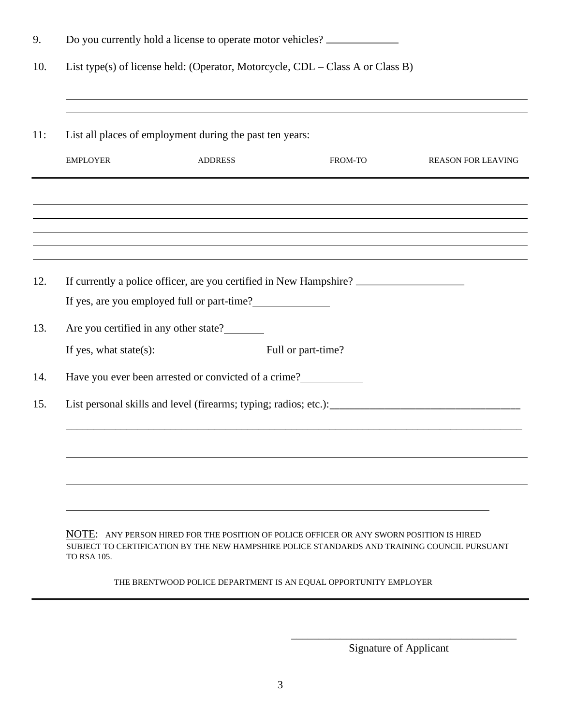|            | Do you currently hold a license to operate motor vehicles?                     |                                                                                                                                                                      |                                                                  |                           |  |  |  |  |
|------------|--------------------------------------------------------------------------------|----------------------------------------------------------------------------------------------------------------------------------------------------------------------|------------------------------------------------------------------|---------------------------|--|--|--|--|
| 10.        | List type(s) of license held: (Operator, Motorcycle, CDL – Class A or Class B) |                                                                                                                                                                      |                                                                  |                           |  |  |  |  |
| 11:        |                                                                                | List all places of employment during the past ten years:                                                                                                             |                                                                  |                           |  |  |  |  |
|            | <b>EMPLOYER</b>                                                                | <b>ADDRESS</b>                                                                                                                                                       | FROM-TO                                                          | <b>REASON FOR LEAVING</b> |  |  |  |  |
|            |                                                                                | ,我们也不会有什么。""我们的人,我们也不会有什么?""我们的人,我们也不会有什么?""我们的人,我们也不会有什么?""我们的人,我们也不会有什么?""我们的人                                                                                     |                                                                  |                           |  |  |  |  |
|            |                                                                                | ,我们也不会有什么?""我们的人,我们也不会有什么?""我们的人,我们也不会有什么?""我们的人,我们也不会有什么?""我们的人,我们也不会有什么?""我们的人<br>,我们也不会有什么?""我们的人,我们也不会有什么?""我们的人,我们也不会有什么?""我们的人,我们也不会有什么?""我们的人,我们也不会有什么?""我们的人 |                                                                  |                           |  |  |  |  |
| 12.        |                                                                                | If currently a police officer, are you certified in New Hampshire?                                                                                                   |                                                                  |                           |  |  |  |  |
|            |                                                                                | If yes, are you employed full or part-time?                                                                                                                          |                                                                  |                           |  |  |  |  |
| 13.        |                                                                                | Are you certified in any other state?                                                                                                                                |                                                                  |                           |  |  |  |  |
|            |                                                                                |                                                                                                                                                                      | If yes, what state(s): $\qquad \qquad \qquad$ Full or part-time? |                           |  |  |  |  |
|            |                                                                                |                                                                                                                                                                      |                                                                  |                           |  |  |  |  |
|            |                                                                                | Have you ever been arrested or convicted of a crime?                                                                                                                 |                                                                  |                           |  |  |  |  |
|            |                                                                                |                                                                                                                                                                      |                                                                  |                           |  |  |  |  |
|            |                                                                                |                                                                                                                                                                      |                                                                  |                           |  |  |  |  |
| 14.<br>15. |                                                                                |                                                                                                                                                                      |                                                                  |                           |  |  |  |  |
|            |                                                                                |                                                                                                                                                                      |                                                                  |                           |  |  |  |  |

THE BRENTWOOD POLICE DEPARTMENT IS AN EQUAL OPPORTUNITY EMPLOYER

TO RSA 105.

\_\_\_\_\_\_\_\_\_\_\_\_\_\_\_\_\_\_\_\_\_\_\_\_\_\_\_\_\_\_\_\_\_\_\_\_\_\_\_\_\_ Signature of Applicant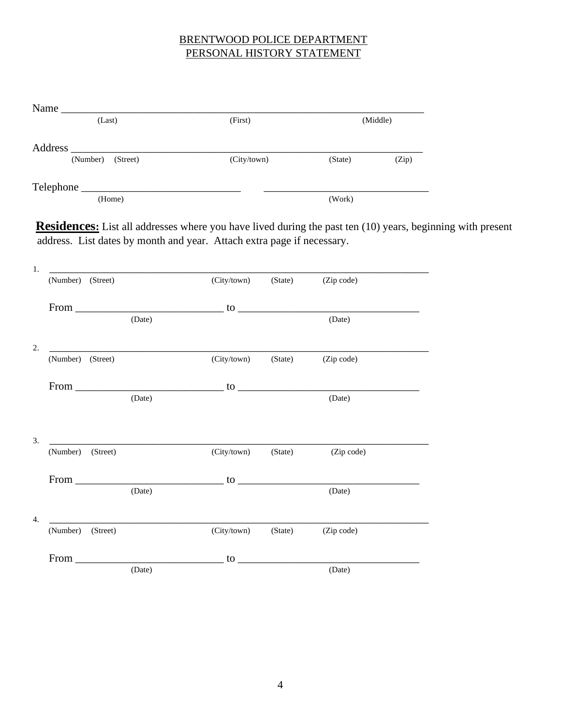### BRENTWOOD POLICE DEPARTMENT PERSONAL HISTORY STATEMENT

| Name                                                                                                                                                                                                                           |             |                                                                                                                                                                                                                                                                                                                                                                                                                       |                                                                                                                                                                                                                                                                                                                                                         |          |
|--------------------------------------------------------------------------------------------------------------------------------------------------------------------------------------------------------------------------------|-------------|-----------------------------------------------------------------------------------------------------------------------------------------------------------------------------------------------------------------------------------------------------------------------------------------------------------------------------------------------------------------------------------------------------------------------|---------------------------------------------------------------------------------------------------------------------------------------------------------------------------------------------------------------------------------------------------------------------------------------------------------------------------------------------------------|----------|
| (Last)                                                                                                                                                                                                                         | (First)     |                                                                                                                                                                                                                                                                                                                                                                                                                       |                                                                                                                                                                                                                                                                                                                                                         | (Middle) |
|                                                                                                                                                                                                                                |             |                                                                                                                                                                                                                                                                                                                                                                                                                       |                                                                                                                                                                                                                                                                                                                                                         |          |
| (Number) (Street)                                                                                                                                                                                                              | (City/town) |                                                                                                                                                                                                                                                                                                                                                                                                                       | (State)                                                                                                                                                                                                                                                                                                                                                 | (Zip)    |
|                                                                                                                                                                                                                                |             | $\frac{1}{1-\frac{1}{1-\frac{1}{1-\frac{1}{1-\frac{1}{1-\frac{1}{1-\frac{1}{1-\frac{1}{1-\frac{1}{1-\frac{1}{1-\frac{1}{1-\frac{1}{1-\frac{1}{1-\frac{1}{1-\frac{1}{1-\frac{1}{1-\frac{1}{1-\frac{1}{1-\frac{1}{1-\frac{1}{1-\frac{1}{1-\frac{1}{1-\frac{1}{1-\frac{1}{1-\frac{1}{1-\frac{1}{1-\frac{1}{1-\frac{1}{1-\frac{1}{1-\frac{1}{1-\frac{1}{1-\frac{1}{1-\frac{1}{1-\frac{1}{1-\frac{1}{1-\frac{1}{1-\frac{1$ |                                                                                                                                                                                                                                                                                                                                                         |          |
| (Home)                                                                                                                                                                                                                         |             |                                                                                                                                                                                                                                                                                                                                                                                                                       | (Work)                                                                                                                                                                                                                                                                                                                                                  |          |
| 1.<br>(Number) (Street)                                                                                                                                                                                                        | (City/town) |                                                                                                                                                                                                                                                                                                                                                                                                                       | (Zip code)                                                                                                                                                                                                                                                                                                                                              |          |
|                                                                                                                                                                                                                                |             | (State)                                                                                                                                                                                                                                                                                                                                                                                                               |                                                                                                                                                                                                                                                                                                                                                         |          |
| From to the contract of the contract of the contract of the contract of the contract of the contract of the contract of the contract of the contract of the contract of the contract of the contract of the contract of the co |             |                                                                                                                                                                                                                                                                                                                                                                                                                       |                                                                                                                                                                                                                                                                                                                                                         |          |
| (Date)                                                                                                                                                                                                                         |             |                                                                                                                                                                                                                                                                                                                                                                                                                       | (Date)                                                                                                                                                                                                                                                                                                                                                  |          |
| 2.                                                                                                                                                                                                                             |             |                                                                                                                                                                                                                                                                                                                                                                                                                       |                                                                                                                                                                                                                                                                                                                                                         |          |
| (Number) (Street)                                                                                                                                                                                                              | (City/town) | (State)                                                                                                                                                                                                                                                                                                                                                                                                               | (Zip code)                                                                                                                                                                                                                                                                                                                                              |          |
| From $\qquad \qquad$ to $\qquad \qquad$                                                                                                                                                                                        |             |                                                                                                                                                                                                                                                                                                                                                                                                                       |                                                                                                                                                                                                                                                                                                                                                         |          |
| (Date)                                                                                                                                                                                                                         |             |                                                                                                                                                                                                                                                                                                                                                                                                                       | (Date)                                                                                                                                                                                                                                                                                                                                                  |          |
|                                                                                                                                                                                                                                |             |                                                                                                                                                                                                                                                                                                                                                                                                                       |                                                                                                                                                                                                                                                                                                                                                         |          |
| 3.<br>(Number)<br>(Street)                                                                                                                                                                                                     | (City/town) | (State)                                                                                                                                                                                                                                                                                                                                                                                                               | (Zip code)                                                                                                                                                                                                                                                                                                                                              |          |
|                                                                                                                                                                                                                                |             |                                                                                                                                                                                                                                                                                                                                                                                                                       |                                                                                                                                                                                                                                                                                                                                                         |          |
| From<br>(Date)                                                                                                                                                                                                                 |             |                                                                                                                                                                                                                                                                                                                                                                                                                       | $\bullet$ $\qquad$ $\qquad$ $\qquad$ $\qquad$ $\qquad$ $\qquad$ $\qquad$ $\qquad$ $\qquad$ $\qquad$ $\qquad$ $\qquad$ $\qquad$ $\qquad$ $\qquad$ $\qquad$ $\qquad$ $\qquad$ $\qquad$ $\qquad$ $\qquad$ $\qquad$ $\qquad$ $\qquad$ $\qquad$ $\qquad$ $\qquad$ $\qquad$ $\qquad$ $\qquad$ $\qquad$ $\qquad$ $\qquad$ $\qquad$ $\qquad$ $\qquad$<br>(Date) |          |

4. \_\_\_\_\_\_\_\_\_\_\_\_\_\_\_\_\_\_\_\_\_\_\_\_\_\_\_\_\_\_\_\_\_\_\_\_\_\_\_\_\_\_\_\_\_\_\_\_\_\_\_\_\_\_\_\_\_\_\_\_\_\_\_\_\_\_\_\_\_ (Number) (Street) (City/town) (State) (Zip code) From  $\frac{1}{\text{(Date)}}$  to  $\frac{1}{\text{(Date)}}$ 

(Date) (Date)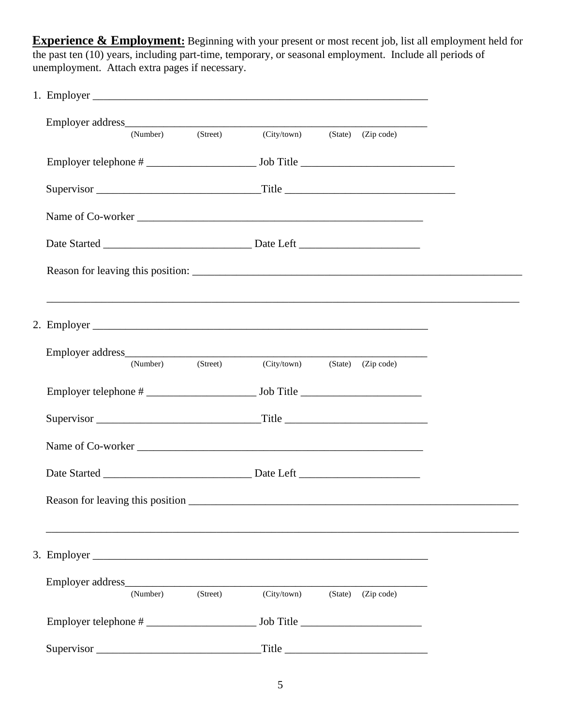**Experience & Employment:** Beginning with your present or most recent job, list all employment held for the past ten (10) years, including part-time, temporary, or seasonal employment. Include all periods of unemployment. Attach extra pages if necessary.

|                    | (Number) | (Street) | (City/town) (State) (Zip code) |                        |  |
|--------------------|----------|----------|--------------------------------|------------------------|--|
|                    |          |          |                                |                        |  |
|                    |          |          |                                |                        |  |
|                    |          |          |                                |                        |  |
|                    |          |          |                                |                        |  |
|                    |          |          |                                |                        |  |
|                    |          |          |                                |                        |  |
|                    | (Number) | (Street) | (City/town)                    | (State) (Zip code)     |  |
|                    |          |          |                                |                        |  |
|                    |          |          |                                |                        |  |
|                    |          |          |                                |                        |  |
|                    |          |          |                                |                        |  |
|                    |          |          |                                |                        |  |
| 3. Employer $\Box$ |          |          |                                |                        |  |
|                    |          |          |                                |                        |  |
|                    | (Number) | (Street) | (City/town)                    | (State) (Zip code)     |  |
|                    |          |          |                                |                        |  |
| Supervisor         |          |          |                                | $\Gamma$ itle $\Gamma$ |  |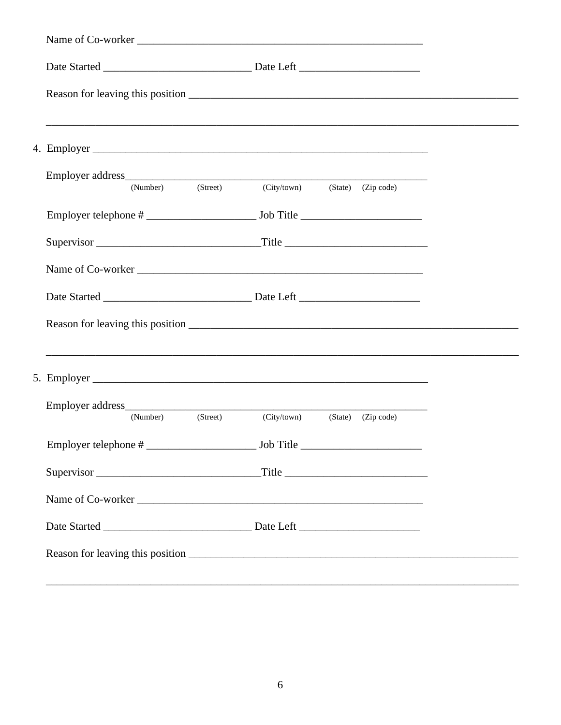| (Street)<br>(Number)                                                                                                                                  | (City/town) | (State) (Zip code)     |  |
|-------------------------------------------------------------------------------------------------------------------------------------------------------|-------------|------------------------|--|
|                                                                                                                                                       |             |                        |  |
|                                                                                                                                                       |             |                        |  |
|                                                                                                                                                       |             |                        |  |
|                                                                                                                                                       |             |                        |  |
|                                                                                                                                                       |             |                        |  |
| ,我们也不能在这里的时候,我们也不能在这里的时候,我们也不能在这里的时候,我们也不能会不能会不能会不能会不能会不能会不能会不能会。<br>第2012章 我们的时候,我们的时候,我们的时候,我们的时候,我们的时候,我们的时候,我们的时候,我们的时候,我们的时候,我们的时候,我们的时候,我们的时候,我 |             |                        |  |
|                                                                                                                                                       |             |                        |  |
|                                                                                                                                                       |             |                        |  |
| (Street)<br>(Number)                                                                                                                                  | (City/town) | $(State)$ $(Zip code)$ |  |
|                                                                                                                                                       |             |                        |  |
|                                                                                                                                                       |             |                        |  |
|                                                                                                                                                       |             |                        |  |
|                                                                                                                                                       |             |                        |  |
|                                                                                                                                                       |             |                        |  |
|                                                                                                                                                       |             |                        |  |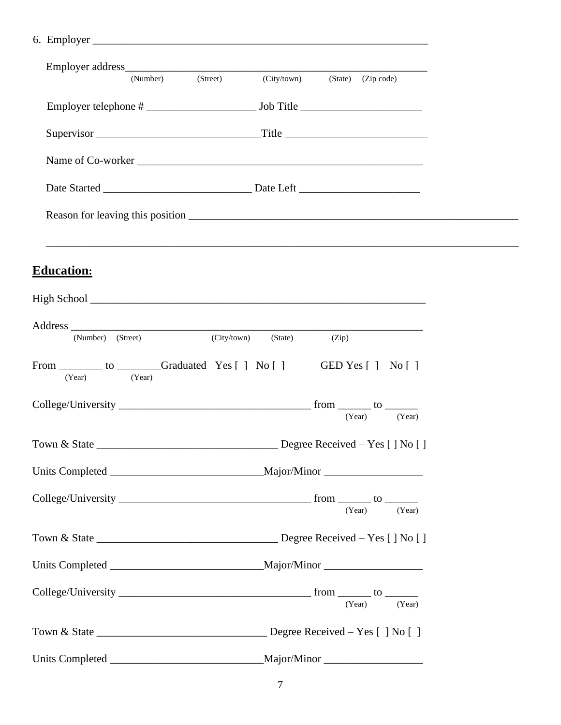|                                                               | (Number) (Street) |             | (City/town) (State) (Zip code) |       |                        |  |
|---------------------------------------------------------------|-------------------|-------------|--------------------------------|-------|------------------------|--|
|                                                               |                   |             |                                |       |                        |  |
|                                                               |                   |             |                                |       |                        |  |
|                                                               |                   |             |                                |       |                        |  |
|                                                               |                   |             |                                |       |                        |  |
|                                                               |                   |             |                                |       |                        |  |
|                                                               |                   |             |                                |       |                        |  |
|                                                               |                   |             |                                |       |                        |  |
| <b>Education:</b>                                             |                   |             |                                |       |                        |  |
|                                                               |                   |             |                                |       |                        |  |
| (Number) (Street)                                             |                   | (City/town) | (State)                        | (Zip) |                        |  |
| From __________ to ________Graduated Yes [ ] No [ ]<br>(Year) | (Year)            |             |                                |       | GED Yes $[ ]$ No $[ ]$ |  |
|                                                               |                   |             |                                |       | (Year) (Year)          |  |
|                                                               |                   |             |                                |       |                        |  |
|                                                               |                   |             |                                |       |                        |  |
|                                                               |                   |             |                                |       | (Year) (Year)          |  |
|                                                               |                   |             |                                |       |                        |  |
|                                                               |                   |             |                                |       |                        |  |
|                                                               |                   |             |                                |       | (Year) (Year)          |  |
|                                                               |                   |             |                                |       |                        |  |
|                                                               |                   |             |                                |       |                        |  |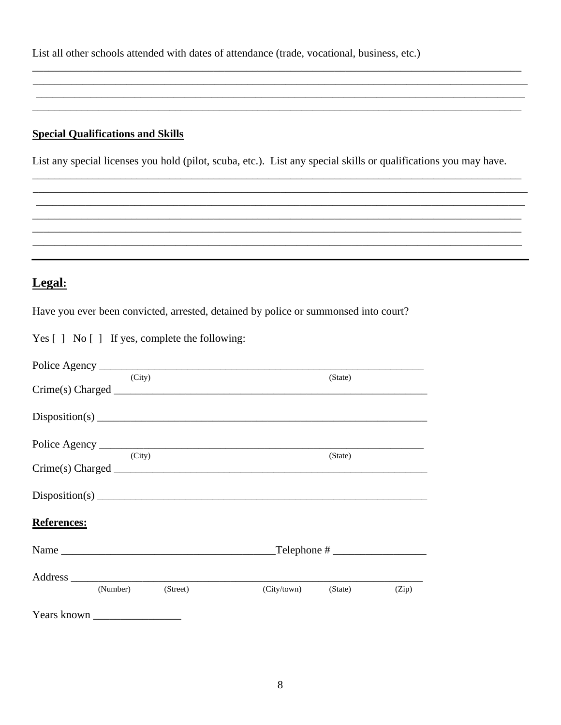List all other schools attended with dates of attendance (trade, vocational, business, etc.)

## **Special Qualifications and Skills**

List any special licenses you hold (pilot, scuba, etc.). List any special skills or qualifications you may have.

## Legal:

Have you ever been convicted, arrested, detained by police or summonsed into court?

|  |  | Yes [] No [] If yes, complete the following: |  |
|--|--|----------------------------------------------|--|
|--|--|----------------------------------------------|--|

| (City)         |          | (State)             |       |
|----------------|----------|---------------------|-------|
|                |          |                     |       |
|                |          |                     |       |
|                |          |                     |       |
| (City)         |          | (State)             |       |
|                |          |                     |       |
| Disposition(s) |          |                     |       |
| References:    |          |                     |       |
|                |          |                     |       |
|                |          |                     |       |
| (Number)       | (Street) | (City/town) (State) | (Zip) |
|                |          |                     |       |